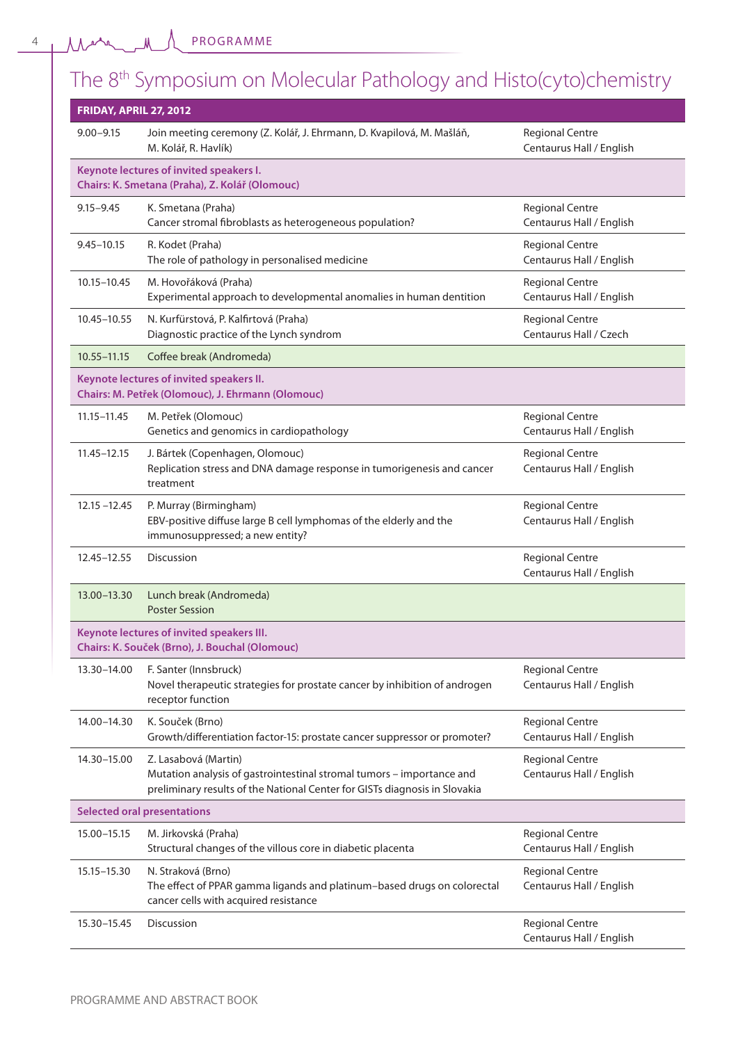PROGRAMME

# The 8th Symposium on Molecular Pathology and Histo(cyto)chemistry

| <b>FRIDAY, APRIL 27, 2012</b>      |                                                                                                                                                                             |                                                    |
|------------------------------------|-----------------------------------------------------------------------------------------------------------------------------------------------------------------------------|----------------------------------------------------|
| $9.00 - 9.15$                      | Join meeting ceremony (Z. Kolář, J. Ehrmann, D. Kvapilová, M. Mašláň,<br>M. Kolář, R. Havlík)                                                                               | <b>Regional Centre</b><br>Centaurus Hall / English |
|                                    | Keynote lectures of invited speakers I.<br>Chairs: K. Smetana (Praha), Z. Kolář (Olomouc)                                                                                   |                                                    |
| $9.15 - 9.45$                      | K. Smetana (Praha)<br>Cancer stromal fibroblasts as heterogeneous population?                                                                                               | <b>Regional Centre</b><br>Centaurus Hall / English |
| $9.45 - 10.15$                     | R. Kodet (Praha)<br>The role of pathology in personalised medicine                                                                                                          | <b>Regional Centre</b><br>Centaurus Hall / English |
| 10.15-10.45                        | M. Hovořáková (Praha)<br>Experimental approach to developmental anomalies in human dentition                                                                                | <b>Regional Centre</b><br>Centaurus Hall / English |
| 10.45-10.55                        | N. Kurfürstová, P. Kalfirtová (Praha)<br>Diagnostic practice of the Lynch syndrom                                                                                           | <b>Regional Centre</b><br>Centaurus Hall / Czech   |
| $10.55 - 11.15$                    | Coffee break (Andromeda)                                                                                                                                                    |                                                    |
|                                    | Keynote lectures of invited speakers II.<br>Chairs: M. Petřek (Olomouc), J. Ehrmann (Olomouc)                                                                               |                                                    |
| 11.15-11.45                        | M. Petřek (Olomouc)<br>Genetics and genomics in cardiopathology                                                                                                             | <b>Regional Centre</b><br>Centaurus Hall / English |
| $11.45 - 12.15$                    | J. Bártek (Copenhagen, Olomouc)<br>Replication stress and DNA damage response in tumorigenesis and cancer<br>treatment                                                      | <b>Regional Centre</b><br>Centaurus Hall / English |
| $12.15 - 12.45$                    | P. Murray (Birmingham)<br>EBV-positive diffuse large B cell lymphomas of the elderly and the<br>immunosuppressed; a new entity?                                             | <b>Regional Centre</b><br>Centaurus Hall / English |
| 12.45-12.55                        | Discussion                                                                                                                                                                  | <b>Regional Centre</b><br>Centaurus Hall / English |
| 13.00-13.30                        | Lunch break (Andromeda)<br><b>Poster Session</b>                                                                                                                            |                                                    |
|                                    | Keynote lectures of invited speakers III.<br>Chairs: K. Souček (Brno), J. Bouchal (Olomouc)                                                                                 |                                                    |
| 13.30-14.00                        | F. Santer (Innsbruck)<br>Novel therapeutic strategies for prostate cancer by inhibition of androgen<br>receptor function                                                    | <b>Regional Centre</b><br>Centaurus Hall / English |
| 14.00-14.30                        | K. Souček (Brno)<br>Growth/differentiation factor-15: prostate cancer suppressor or promoter?                                                                               | <b>Regional Centre</b><br>Centaurus Hall / English |
| 14.30-15.00                        | Z. Lasabová (Martin)<br>Mutation analysis of gastrointestinal stromal tumors - importance and<br>preliminary results of the National Center for GISTs diagnosis in Slovakia | <b>Regional Centre</b><br>Centaurus Hall / English |
| <b>Selected oral presentations</b> |                                                                                                                                                                             |                                                    |
| 15.00 - 15.15                      | M. Jirkovská (Praha)<br>Structural changes of the villous core in diabetic placenta                                                                                         | <b>Regional Centre</b><br>Centaurus Hall / English |
| 15.15-15.30                        | N. Straková (Brno)<br>The effect of PPAR gamma ligands and platinum-based drugs on colorectal<br>cancer cells with acquired resistance                                      | <b>Regional Centre</b><br>Centaurus Hall / English |
| 15.30-15.45                        | Discussion                                                                                                                                                                  | <b>Regional Centre</b><br>Centaurus Hall / English |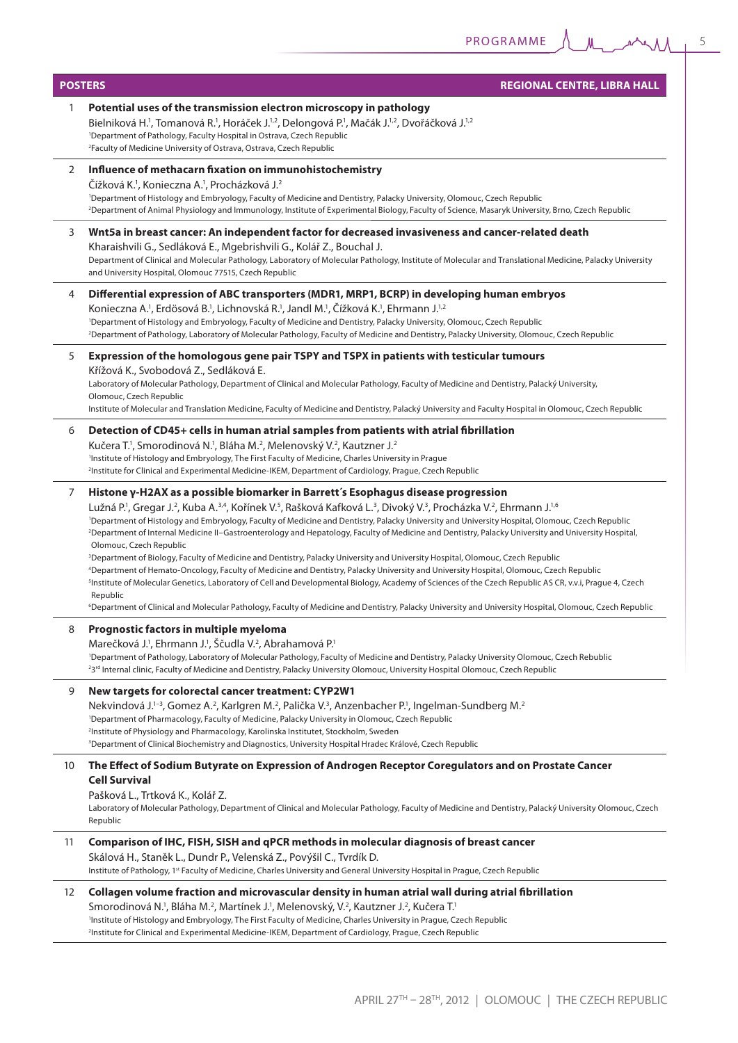**M** 

|    | <b>REGIONAL CENTRE, LIBRA HALL</b><br><b>POSTERS</b>                                                                                                                                                                                                                                                                                                                                                                                                                                                                                                                                                                                                                                                                                                                                                                                                                                                                                                                                                                                                                                                                                                                                                                                                                                                                                 |  |  |
|----|--------------------------------------------------------------------------------------------------------------------------------------------------------------------------------------------------------------------------------------------------------------------------------------------------------------------------------------------------------------------------------------------------------------------------------------------------------------------------------------------------------------------------------------------------------------------------------------------------------------------------------------------------------------------------------------------------------------------------------------------------------------------------------------------------------------------------------------------------------------------------------------------------------------------------------------------------------------------------------------------------------------------------------------------------------------------------------------------------------------------------------------------------------------------------------------------------------------------------------------------------------------------------------------------------------------------------------------|--|--|
| 1  | Potential uses of the transmission electron microscopy in pathology<br>Bielniková H. <sup>1</sup> , Tomanová R. <sup>1</sup> , Horáček J. <sup>1,2</sup> , Delongová P. <sup>1</sup> , Mačák J. <sup>1,2</sup> , Dvořáčková J. <sup>1,2</sup><br><sup>1</sup> Department of Pathology, Faculty Hospital in Ostrava, Czech Republic<br><sup>2</sup> Faculty of Medicine University of Ostrava, Ostrava, Czech Republic                                                                                                                                                                                                                                                                                                                                                                                                                                                                                                                                                                                                                                                                                                                                                                                                                                                                                                                |  |  |
| 2  | Influence of methacarn fixation on immunohistochemistry<br>Čížková K. <sup>1</sup> , Konieczna A. <sup>1</sup> , Procházková J. <sup>2</sup><br><sup>1</sup> Department of Histology and Embryology, Faculty of Medicine and Dentistry, Palacky University, Olomouc, Czech Republic<br><sup>2</sup> Department of Animal Physiology and Immunology, Institute of Experimental Biology, Faculty of Science, Masaryk University, Brno, Czech Republic                                                                                                                                                                                                                                                                                                                                                                                                                                                                                                                                                                                                                                                                                                                                                                                                                                                                                  |  |  |
| 3  | Wnt5a in breast cancer: An independent factor for decreased invasiveness and cancer-related death<br>Kharaishvili G., Sedláková E., Mgebrishvili G., Kolář Z., Bouchal J.<br>Department of Clinical and Molecular Pathology, Laboratory of Molecular Pathology, Institute of Molecular and Translational Medicine, Palacky University<br>and University Hospital, Olomouc 77515, Czech Republic                                                                                                                                                                                                                                                                                                                                                                                                                                                                                                                                                                                                                                                                                                                                                                                                                                                                                                                                      |  |  |
| 4  | Differential expression of ABC transporters (MDR1, MRP1, BCRP) in developing human embryos<br>Konieczna A. <sup>1</sup> , Erdösová B. <sup>1</sup> , Lichnovská R. <sup>1</sup> , Jandl M. <sup>1</sup> , Čížková K. <sup>1</sup> , Ehrmann J. <sup>1,2</sup><br><sup>1</sup> Department of Histology and Embryology, Faculty of Medicine and Dentistry, Palacky University, Olomouc, Czech Republic<br><sup>2</sup> Department of Pathology, Laboratory of Molecular Pathology, Faculty of Medicine and Dentistry, Palacky University, Olomouc, Czech Republic                                                                                                                                                                                                                                                                                                                                                                                                                                                                                                                                                                                                                                                                                                                                                                      |  |  |
| 5  | Expression of the homologous gene pair TSPY and TSPX in patients with testicular tumours<br>Křížová K., Svobodová Z., Sedláková E.<br>Laboratory of Molecular Pathology, Department of Clinical and Molecular Pathology, Faculty of Medicine and Dentistry, Palacký University,<br>Olomouc, Czech Republic<br>Institute of Molecular and Translation Medicine, Faculty of Medicine and Dentistry, Palacký University and Faculty Hospital in Olomouc, Czech Republic                                                                                                                                                                                                                                                                                                                                                                                                                                                                                                                                                                                                                                                                                                                                                                                                                                                                 |  |  |
| 6  | Detection of CD45+ cells in human atrial samples from patients with atrial fibrillation<br>Kučera T. <sup>1</sup> , Smorodinová N. <sup>1</sup> , Bláha M. <sup>2</sup> , Melenovský V. <sup>2</sup> , Kautzner J. <sup>2</sup><br><sup>1</sup> Institute of Histology and Embryology, The First Faculty of Medicine, Charles University in Prague<br>lnstitute for Clinical and Experimental Medicine-IKEM, Department of Cardiology, Prague, Czech Republic <sup>2</sup>                                                                                                                                                                                                                                                                                                                                                                                                                                                                                                                                                                                                                                                                                                                                                                                                                                                           |  |  |
| 7  | Histone γ-H2AX as a possible biomarker in Barrett's Esophagus disease progression<br>Lužná P. <sup>1</sup> , Gregar J. <sup>2</sup> , Kuba A. <sup>3,4</sup> , Kořínek V. <sup>5</sup> , Rašková Kafková L. <sup>3</sup> , Divoký V. <sup>3</sup> , Procházka V. <sup>2</sup> , Ehrmann J. <sup>1,6</sup><br><sup>1</sup> Department of Histology and Embryology, Faculty of Medicine and Dentistry, Palacky University and University Hospital, Olomouc, Czech Republic<br><sup>2</sup> Department of Internal Medicine II-Gastroenterology and Hepatology, Faculty of Medicine and Dentistry, Palacky University and University Hospital,<br>Olomouc, Czech Republic<br><sup>3</sup> Department of Biology, Faculty of Medicine and Dentistry, Palacky University and University Hospital, Olomouc, Czech Republic<br><sup>4</sup> Department of Hemato-Oncology, Faculty of Medicine and Dentistry, Palacky University and University Hospital, Olomouc, Czech Republic<br><sup>5</sup> Institute of Molecular Genetics, Laboratory of Cell and Developmental Biology, Academy of Sciences of the Czech Republic AS CR, v.v.i, Prague 4, Czech<br>Republic<br><sup>6</sup> Department of Clinical and Molecular Pathology, Faculty of Medicine and Dentistry, Palacky University and University Hospital, Olomouc, Czech Republic |  |  |
| 8  | Prognostic factors in multiple myeloma<br>Marečková J. <sup>1</sup> , Ehrmann J. <sup>1</sup> , Ščudla V. <sup>2</sup> , Abrahamová P. <sup>1</sup><br><sup>1</sup> Department of Pathology, Laboratory of Molecular Pathology, Faculty of Medicine and Dentistry, Palacky University Olomouc, Czech Rebublic<br><sup>23rd</sup> Internal clinic, Faculty of Medicine and Dentistry, Palacky University Olomouc, University Hospital Olomouc, Czech Republic                                                                                                                                                                                                                                                                                                                                                                                                                                                                                                                                                                                                                                                                                                                                                                                                                                                                         |  |  |
| 9  | New targets for colorectal cancer treatment: CYP2W1<br>Nekvindová J. <sup>1-3</sup> , Gomez A. <sup>2</sup> , Karlgren M. <sup>2</sup> , Palička V. <sup>3</sup> , Anzenbacher P. <sup>1</sup> , Ingelman-Sundberg M. <sup>2</sup><br><sup>1</sup> Department of Pharmacology, Faculty of Medicine, Palacky University in Olomouc, Czech Republic<br><sup>2</sup> Institute of Physiology and Pharmacology, Karolinska Institutet, Stockholm, Sweden<br><sup>3</sup> Department of Clinical Biochemistry and Diagnostics, University Hospital Hradec Králové, Czech Republic                                                                                                                                                                                                                                                                                                                                                                                                                                                                                                                                                                                                                                                                                                                                                         |  |  |
| 10 | The Effect of Sodium Butyrate on Expression of Androgen Receptor Coregulators and on Prostate Cancer<br><b>Cell Survival</b><br>Pašková L., Trtková K., Kolář Z.<br>Laboratory of Molecular Pathology, Department of Clinical and Molecular Pathology, Faculty of Medicine and Dentistry, Palacký University Olomouc, Czech<br>Republic                                                                                                                                                                                                                                                                                                                                                                                                                                                                                                                                                                                                                                                                                                                                                                                                                                                                                                                                                                                              |  |  |
| 11 | Comparison of IHC, FISH, SISH and qPCR methods in molecular diagnosis of breast cancer<br>Skálová H., Staněk L., Dundr P., Velenská Z., Povýšil C., Tvrdík D.<br>Institute of Pathology, 1 <sup>st</sup> Faculty of Medicine, Charles University and General University Hospital in Prague, Czech Republic                                                                                                                                                                                                                                                                                                                                                                                                                                                                                                                                                                                                                                                                                                                                                                                                                                                                                                                                                                                                                           |  |  |
| 12 | Collagen volume fraction and microvascular density in human atrial wall during atrial fibrillation<br>Smorodinová N. <sup>1</sup> , Bláha M. <sup>2</sup> , Martínek J. <sup>1</sup> , Melenovský, V. <sup>2</sup> , Kautzner J. <sup>2</sup> , Kučera T. <sup>1</sup><br>'Institute of Histology and Embryology, The First Faculty of Medicine, Charles University in Prague, Czech Republic<br>lnstitute for Clinical and Experimental Medicine-IKEM, Department of Cardiology, Prague, Czech Republic <sup>2</sup>                                                                                                                                                                                                                                                                                                                                                                                                                                                                                                                                                                                                                                                                                                                                                                                                                |  |  |

 $M_{\odot}$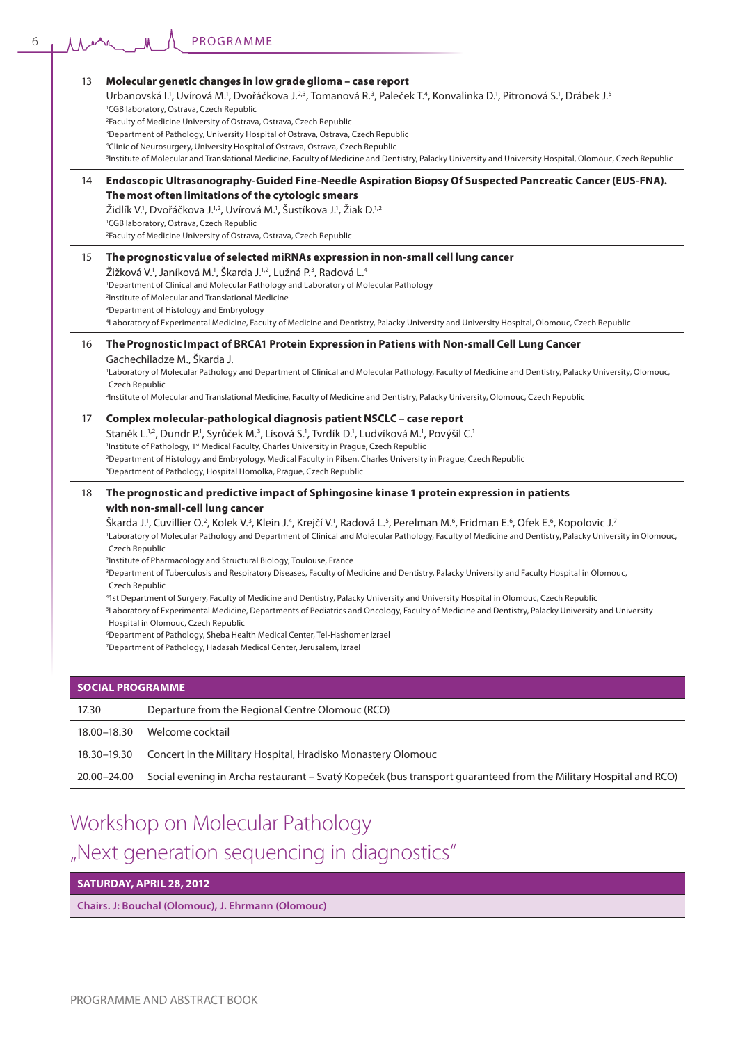| 13    | Molecular genetic changes in low grade glioma - case report<br>Urbanovská I. <sup>1</sup> , Uvírová M. <sup>1</sup> , Dvořáčkova J. <sup>2,3</sup> , Tomanová R. <sup>3</sup> , Paleček T. <sup>4</sup> , Konvalinka D. <sup>1</sup> , Pitronová S. <sup>1</sup> , Drábek J. <sup>5</sup><br><sup>1</sup> CGB laboratory, Ostrava, Czech Republic<br><sup>2</sup> Faculty of Medicine University of Ostrava, Ostrava, Czech Republic<br><sup>3</sup> Department of Pathology, University Hospital of Ostrava, Ostrava, Czech Republic<br><sup>4</sup> Clinic of Neurosurgery, University Hospital of Ostrava, Ostrava, Czech Republic<br><sup>5</sup> Institute of Molecular and Translational Medicine, Faculty of Medicine and Dentistry, Palacky University and University Hospital, Olomouc, Czech Republic                                                                                                                                                                                                                                                                                                                                                                                                                                                                                                                                                            |
|-------|----------------------------------------------------------------------------------------------------------------------------------------------------------------------------------------------------------------------------------------------------------------------------------------------------------------------------------------------------------------------------------------------------------------------------------------------------------------------------------------------------------------------------------------------------------------------------------------------------------------------------------------------------------------------------------------------------------------------------------------------------------------------------------------------------------------------------------------------------------------------------------------------------------------------------------------------------------------------------------------------------------------------------------------------------------------------------------------------------------------------------------------------------------------------------------------------------------------------------------------------------------------------------------------------------------------------------------------------------------------------------|
| 14    | Endoscopic Ultrasonography-Guided Fine-Needle Aspiration Biopsy Of Suspected Pancreatic Cancer (EUS-FNA).<br>The most often limitations of the cytologic smears<br>Židlík V. <sup>1</sup> , Dvořáčkova J. <sup>1,2</sup> , Uvírová M. <sup>1</sup> , Šustíkova J. <sup>1</sup> , Žiak D. <sup>1,2</sup><br><sup>1</sup> CGB laboratory, Ostrava, Czech Republic<br><sup>2</sup> Faculty of Medicine University of Ostrava, Ostrava, Czech Republic                                                                                                                                                                                                                                                                                                                                                                                                                                                                                                                                                                                                                                                                                                                                                                                                                                                                                                                         |
| 15    | The prognostic value of selected miRNAs expression in non-small cell lung cancer<br>Žižková V. <sup>1</sup> , Janíková M. <sup>1</sup> , Škarda J. <sup>1,2</sup> , Lužná P. <sup>3</sup> , Radová L. <sup>4</sup><br><sup>1</sup> Department of Clinical and Molecular Pathology and Laboratory of Molecular Pathology<br><sup>2</sup> Institute of Molecular and Translational Medicine<br><sup>3</sup> Department of Histology and Embryology<br><sup>4</sup> Laboratory of Experimental Medicine, Faculty of Medicine and Dentistry, Palacky University and University Hospital, Olomouc, Czech Republic                                                                                                                                                                                                                                                                                                                                                                                                                                                                                                                                                                                                                                                                                                                                                               |
| 16    | The Prognostic Impact of BRCA1 Protein Expression in Patiens with Non-small Cell Lung Cancer<br>Gachechiladze M., Škarda J.<br>'Laboratory of Molecular Pathology and Department of Clinical and Molecular Pathology, Faculty of Medicine and Dentistry, Palacky University, Olomouc,<br>Czech Republic<br><sup>2</sup> Institute of Molecular and Translational Medicine, Faculty of Medicine and Dentistry, Palacky University, Olomouc, Czech Republic                                                                                                                                                                                                                                                                                                                                                                                                                                                                                                                                                                                                                                                                                                                                                                                                                                                                                                                  |
| 17    | Complex molecular-pathological diagnosis patient NSCLC – case report<br>Staněk L. <sup>1,2</sup> , Dundr P. <sup>1</sup> , Syrůček M. <sup>3</sup> , Lísová S. <sup>1</sup> , Tyrdík D. <sup>1</sup> , Ludvíková M. <sup>1</sup> , Povýšil C. <sup>1</sup><br><sup>1</sup> Institute of Pathology, 1 <sup>st</sup> Medical Faculty, Charles University in Prague, Czech Republic<br><sup>2</sup> Department of Histology and Embryology, Medical Faculty in Pilsen, Charles University in Prague, Czech Republic<br><sup>3</sup> Department of Pathology, Hospital Homolka, Prague, Czech Republic                                                                                                                                                                                                                                                                                                                                                                                                                                                                                                                                                                                                                                                                                                                                                                         |
| 18    | The prognostic and predictive impact of Sphingosine kinase 1 protein expression in patients<br>with non-small-cell lung cancer<br>Škarda J.', Cuvillier O. <sup>2</sup> , Kolek V. <sup>3</sup> , Klein J. <sup>4</sup> , Krejčí V. <sup>1</sup> , Radová L. <sup>5</sup> , Perelman M. <sup>6</sup> , Fridman E. <sup>6</sup> , Ofek E. <sup>6</sup> , Kopolovic J. <sup>7</sup><br>'Laboratory of Molecular Pathology and Department of Clinical and Molecular Pathology, Faculty of Medicine and Dentistry, Palacky University in Olomouc,<br>Czech Republic<br><sup>2</sup> Institute of Pharmacology and Structural Biology, Toulouse, France<br><sup>3</sup> Department of Tuberculosis and Respiratory Diseases, Faculty of Medicine and Dentistry, Palacky University and Faculty Hospital in Olomouc,<br>Czech Republic<br><sup>4</sup> 1st Department of Surgery, Faculty of Medicine and Dentistry, Palacky University and University Hospital in Olomouc, Czech Republic<br><sup>5</sup> Laboratory of Experimental Medicine, Departments of Pediatrics and Oncology, Faculty of Medicine and Dentistry, Palacky University and University<br>Hospital in Olomouc, Czech Republic<br><sup>6</sup> Department of Pathology, Sheba Health Medical Center, Tel-Hashomer Izrael<br><sup>7</sup> Department of Pathology, Hadasah Medical Center, Jerusalem, Izrael |
|       | <b>SOCIAL PROGRAMME</b>                                                                                                                                                                                                                                                                                                                                                                                                                                                                                                                                                                                                                                                                                                                                                                                                                                                                                                                                                                                                                                                                                                                                                                                                                                                                                                                                                    |
| 17.30 | Departure from the Regional Centre Olomouc (RCO)                                                                                                                                                                                                                                                                                                                                                                                                                                                                                                                                                                                                                                                                                                                                                                                                                                                                                                                                                                                                                                                                                                                                                                                                                                                                                                                           |

| 17.30       | Departure from the Regional Centre Olomouc (RCO)                                                                 |
|-------------|------------------------------------------------------------------------------------------------------------------|
| 18.00–18.30 | Welcome cocktail                                                                                                 |
| 18.30–19.30 | Concert in the Military Hospital, Hradisko Monastery Olomouc                                                     |
| 20.00–24.00 | Social evening in Archa restaurant – Svatý Kopeček (bus transport guaranteed from the Military Hospital and RCO) |

## Workshop on Molecular Pathology "Next generation sequencing in diagnostics"

### **SATURDAY, APRIL 28, 2012**

**Chairs. J: Bouchal (Olomouc), J. Ehrmann (Olomouc)**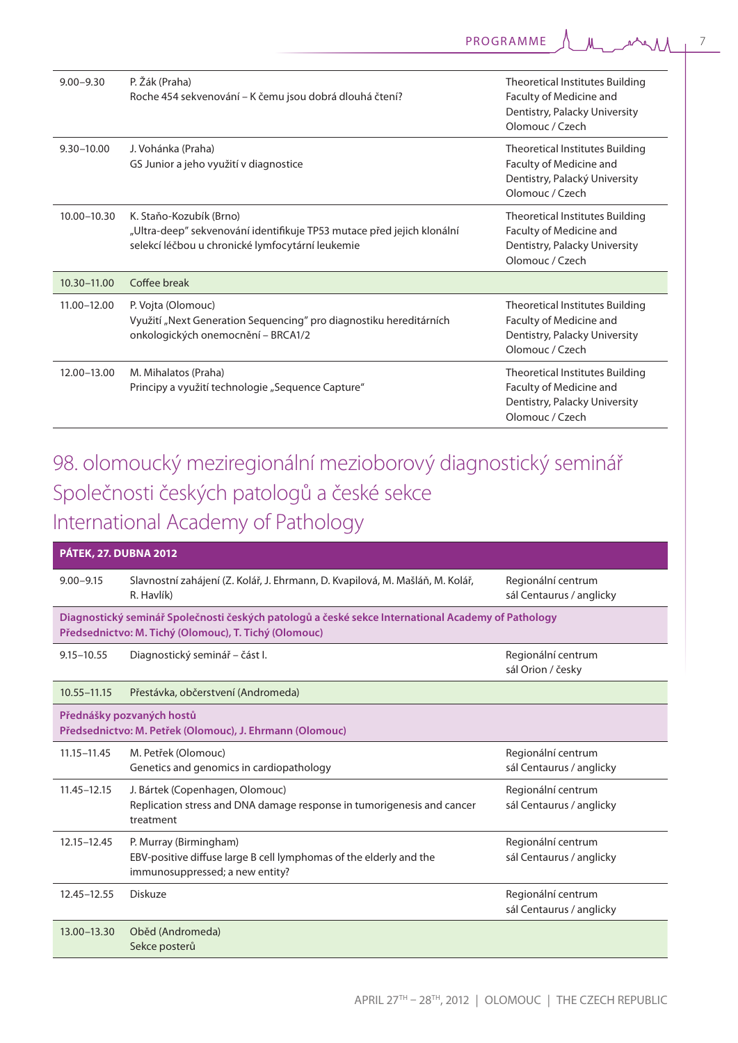| $9.00 - 9.30$  | P. Žák (Praha)<br>Roche 454 sekvenování – K čemu jsou dobrá dlouhá čtení?                                                                             | Theoretical Institutes Building<br>Faculty of Medicine and<br>Dentistry, Palacky University<br>Olomouc / Czech        |
|----------------|-------------------------------------------------------------------------------------------------------------------------------------------------------|-----------------------------------------------------------------------------------------------------------------------|
| $9.30 - 10.00$ | J. Vohánka (Praha)<br>GS Junior a jeho využití v diagnostice                                                                                          | <b>Theoretical Institutes Building</b><br>Faculty of Medicine and<br>Dentistry, Palacký University<br>Olomouc / Czech |
| 10.00-10.30    | K. Staňo-Kozubík (Brno)<br>"Ultra-deep" sekvenování identifikuje TP53 mutace před jejich klonální<br>selekcí léčbou u chronické lymfocytární leukemie | Theoretical Institutes Building<br>Faculty of Medicine and<br>Dentistry, Palacky University<br>Olomouc / Czech        |
| 10.30-11.00    | Coffee break                                                                                                                                          |                                                                                                                       |
| 11.00-12.00    | P. Vojta (Olomouc)<br>Využití "Next Generation Sequencing" pro diagnostiku hereditárních<br>onkologických onemocnění – BRCA1/2                        | Theoretical Institutes Building<br>Faculty of Medicine and<br>Dentistry, Palacky University<br>Olomouc / Czech        |
| 12.00-13.00    | M. Mihalatos (Praha)<br>Principy a využití technologie "Sequence Capture"                                                                             | <b>Theoretical Institutes Building</b><br>Faculty of Medicine and<br>Dentistry, Palacky University<br>Olomouc / Czech |

## 98. olomoucký meziregionální mezioborový diagnostický seminář Společnosti českých patologů a české sekce International Academy of Pathology

| <b>PÁTEK, 27. DUBNA 2012</b>                                                          |                                                                                                                                                             |                                                |
|---------------------------------------------------------------------------------------|-------------------------------------------------------------------------------------------------------------------------------------------------------------|------------------------------------------------|
| $9.00 - 9.15$                                                                         | Slavnostní zahájení (Z. Kolář, J. Ehrmann, D. Kvapilová, M. Mašláň, M. Kolář,<br>R. Havlík)                                                                 | Regionální centrum<br>sál Centaurus / anglicky |
|                                                                                       | Diagnostický seminář Společnosti českých patologů a české sekce International Academy of Pathology<br>Předsednictvo: M. Tichý (Olomouc), T. Tichý (Olomouc) |                                                |
| $9.15 - 10.55$                                                                        | Diagnostický seminář – část I.                                                                                                                              | Regionální centrum<br>sál Orion / česky        |
| $10.55 - 11.15$                                                                       | Přestávka, občerstvení (Andromeda)                                                                                                                          |                                                |
| Přednášky pozvaných hostů<br>Předsednictvo: M. Petřek (Olomouc), J. Ehrmann (Olomouc) |                                                                                                                                                             |                                                |
| $11.15 - 11.45$                                                                       | M. Petřek (Olomouc)<br>Genetics and genomics in cardiopathology                                                                                             | Regionální centrum<br>sál Centaurus / anglicky |
| $11.45 - 12.15$                                                                       | J. Bártek (Copenhagen, Olomouc)<br>Replication stress and DNA damage response in tumorigenesis and cancer<br>treatment                                      | Regionální centrum<br>sál Centaurus / anglicky |
| 12.15-12.45                                                                           | P. Murray (Birmingham)<br>EBV-positive diffuse large B cell lymphomas of the elderly and the<br>immunosuppressed; a new entity?                             | Regionální centrum<br>sál Centaurus / anglicky |
| 12.45-12.55                                                                           | Diskuze                                                                                                                                                     | Regionální centrum<br>sál Centaurus / anglicky |
| 13.00-13.30                                                                           | Oběd (Andromeda)<br>Sekce posterů                                                                                                                           |                                                |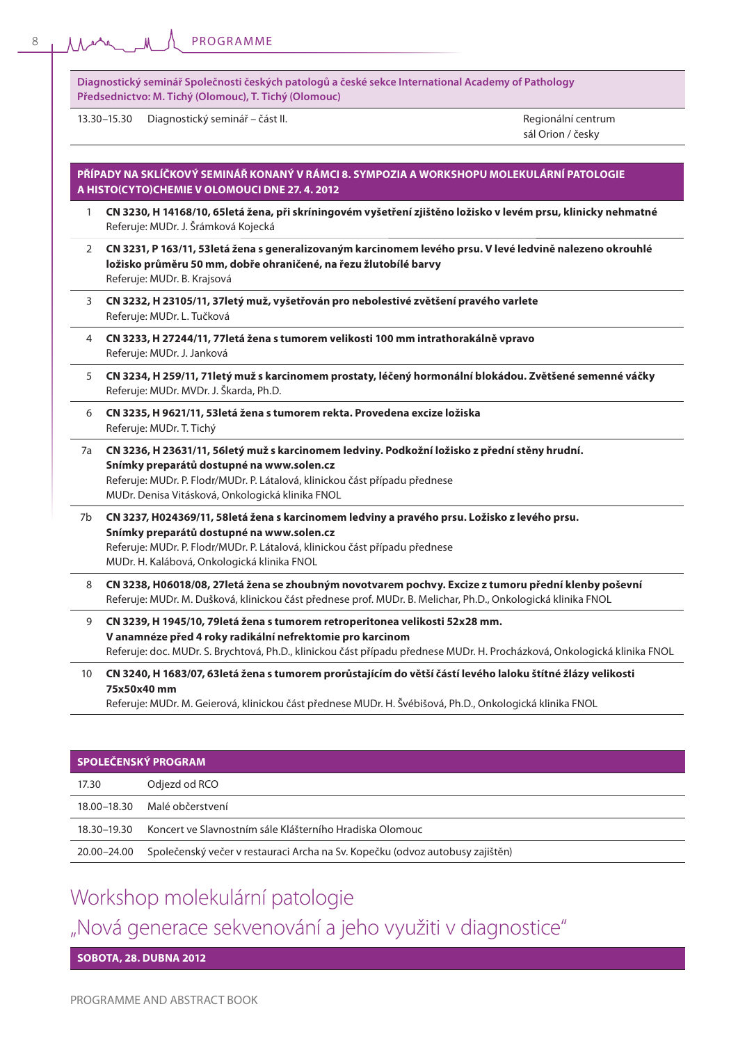|    | Diagnostický seminář Společnosti českých patologů a české sekce International Academy of Pathology<br>Předsednictvo: M. Tichý (Olomouc), T. Tichý (Olomouc)                                                                                                                   |                                         |
|----|-------------------------------------------------------------------------------------------------------------------------------------------------------------------------------------------------------------------------------------------------------------------------------|-----------------------------------------|
|    | Diagnostický seminář – část II.<br>13.30-15.30                                                                                                                                                                                                                                | Regionální centrum<br>sál Orion / česky |
|    | PŘÍPADY NA SKLÍČKOVÝ SEMINÁŘ KONANÝ V RÁMCI 8. SYMPOZIA A WORKSHOPU MOLEKULÁRNÍ PATOLOGIE<br>A HISTO(CYTO)CHEMIE V OLOMOUCI DNE 27. 4. 2012                                                                                                                                   |                                         |
| 1  | CN 3230, H 14168/10, 65letá žena, při skríningovém vyšetření zjištěno ložisko v levém prsu, klinicky nehmatné<br>Referuje: MUDr. J. Šrámková Kojecká                                                                                                                          |                                         |
| 2  | CN 3231, P 163/11, 53 letá žena s generalizovaným karcinomem levého prsu. V levé ledvině nalezeno okrouhlé<br>ložisko průměru 50 mm, dobře ohraničené, na řezu žlutobílé barvy<br>Referuje: MUDr. B. Krajsová                                                                 |                                         |
| 3  | CN 3232, H 23105/11, 37letý muž, vyšetřován pro nebolestivé zvětšení pravého varlete<br>Referuje: MUDr. L. Tučková                                                                                                                                                            |                                         |
| 4  | CN 3233, H 27244/11, 77 letá žena s tumorem velikosti 100 mm intrathorakálně vpravo<br>Referuje: MUDr. J. Janková                                                                                                                                                             |                                         |
| 5  | CN 3234, H 259/11, 71letý muž s karcinomem prostaty, léčený hormonální blokádou. Zvětšené semenné váčky<br>Referuje: MUDr. MVDr. J. Škarda, Ph.D.                                                                                                                             |                                         |
| 6  | CN 3235, H 9621/11, 53 letá žena s tumorem rekta. Provedena excize ložiska<br>Referuje: MUDr. T. Tichý                                                                                                                                                                        |                                         |
| 7a | CN 3236, H 23631/11, 56letý muž s karcinomem ledviny. Podkožní ložisko z přední stěny hrudní.<br>Snímky preparátů dostupné na www.solen.cz<br>Referuje: MUDr. P. Flodr/MUDr. P. Látalová, klinickou část případu přednese<br>MUDr. Denisa Vitásková, Onkologická klinika FNOL |                                         |
| 7b | CN 3237, H024369/11, 58letá žena s karcinomem ledviny a pravého prsu. Ložisko z levého prsu.<br>Snímky preparátů dostupné na www.solen.cz<br>Referuje: MUDr. P. Flodr/MUDr. P. Látalová, klinickou část případu přednese<br>MUDr. H. Kalábová, Onkologická klinika FNOL       |                                         |
| 8  | CN 3238, H06018/08, 27 letá žena se zhoubným novotvarem pochvy. Excize z tumoru přední klenby poševní<br>Referuje: MUDr. M. Dušková, klinickou část přednese prof. MUDr. B. Melichar, Ph.D., Onkologická klinika FNOL                                                         |                                         |
| 9  | CN 3239, H 1945/10, 79 letá žena s tumorem retroperitonea velikosti 52x28 mm.<br>V anamnéze před 4 roky radikální nefrektomie pro karcinom<br>Referuje: doc. MUDr. S. Brychtová, Ph.D., klinickou část případu přednese MUDr. H. Procházková, Onkologická klinika FNOL        |                                         |
| 10 | CN 3240, H 1683/07, 63letá žena s tumorem prorůstajícím do větší částí levého laloku štítné žlázy velikosti<br>75x50x40 mm<br>Referuje: MUDr. M. Geierová, klinickou část přednese MUDr. H. Švébišová, Ph.D., Onkologická klinika FNOL                                        |                                         |

| SPOLEČENSKÝ PROGRAM |                                                                               |  |
|---------------------|-------------------------------------------------------------------------------|--|
| 17.30               | Odjezd od RCO                                                                 |  |
| 18.00–18.30         | Malé občerstvení                                                              |  |
| 18.30–19.30         | Koncert ve Slavnostním sále Klášterního Hradiska Olomouc                      |  |
| 20.00–24.00         | Společenský večer v restauraci Archa na Sv. Kopečku (odvoz autobusy zajištěn) |  |

### Workshop molekulární patologie

"Nová generace sekvenování a jeho využiti v diagnostice"

**SOBOTA, 28. DUBNA 2012**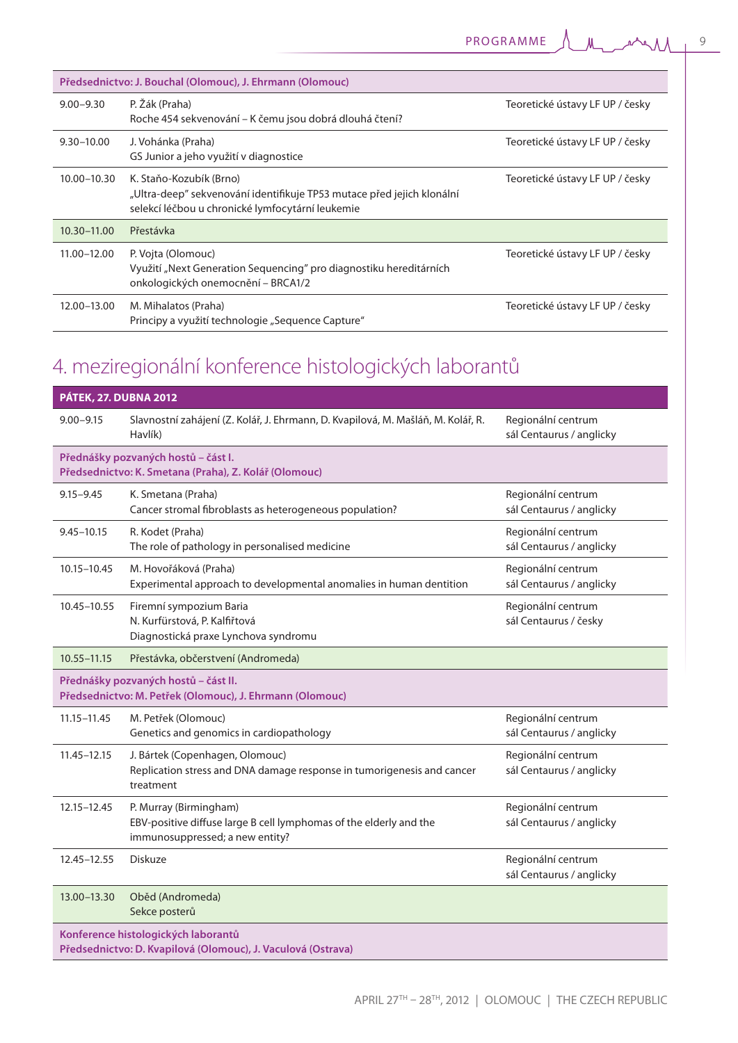| Předsednictvo: J. Bouchal (Olomouc), J. Ehrmann (Olomouc) |                                                                                                                                                       |                                 |
|-----------------------------------------------------------|-------------------------------------------------------------------------------------------------------------------------------------------------------|---------------------------------|
| $9.00 - 9.30$                                             | P. Žák (Praha)<br>Roche 454 sekvenování – K čemu jsou dobrá dlouhá čtení?                                                                             | Teoretické ústavy LF UP / česky |
| $9.30 - 10.00$                                            | J. Vohánka (Praha)<br>GS Junior a jeho využití v diagnostice                                                                                          | Teoretické ústavy LF UP / česky |
| 10.00-10.30                                               | K. Staňo-Kozubík (Brno)<br>"Ultra-deep" sekvenování identifikuje TP53 mutace před jejich klonální<br>selekcí léčbou u chronické lymfocytární leukemie | Teoretické ústavy LF UP / česky |
| $10.30 - 11.00$                                           | Přestávka                                                                                                                                             |                                 |
| $11.00 - 12.00$                                           | P. Vojta (Olomouc)<br>Využití "Next Generation Sequencing" pro diagnostiku hereditárních<br>onkologických onemocnění – BRCA1/2                        | Teoretické ústavy LF UP / česky |
| 12.00-13.00                                               | M. Mihalatos (Praha)<br>Principy a využití technologie "Sequence Capture"                                                                             | Teoretické ústavy LF UP / česky |

## 4. meziregionální konference histologických laborantů

| <b>PÁTEK, 27. DUBNA 2012</b>                                                                        |                                                                                                                                 |                                                |
|-----------------------------------------------------------------------------------------------------|---------------------------------------------------------------------------------------------------------------------------------|------------------------------------------------|
| $9.00 - 9.15$                                                                                       | Slavnostní zahájení (Z. Kolář, J. Ehrmann, D. Kvapilová, M. Mašláň, M. Kolář, R.<br>Havlík)                                     | Regionální centrum<br>sál Centaurus / anglicky |
|                                                                                                     | Přednášky pozvaných hostů – část I.<br>Předsednictvo: K. Smetana (Praha), Z. Kolář (Olomouc)                                    |                                                |
| $9.15 - 9.45$                                                                                       | K. Smetana (Praha)<br>Cancer stromal fibroblasts as heterogeneous population?                                                   | Regionální centrum<br>sál Centaurus / anglicky |
| $9.45 - 10.15$                                                                                      | R. Kodet (Praha)<br>The role of pathology in personalised medicine                                                              | Regionální centrum<br>sál Centaurus / anglicky |
| 10.15-10.45                                                                                         | M. Hovořáková (Praha)<br>Experimental approach to developmental anomalies in human dentition                                    | Regionální centrum<br>sál Centaurus / anglicky |
| 10.45-10.55                                                                                         | Firemní sympozium Baria<br>N. Kurfürstová, P. Kalfiřtová<br>Diagnostická praxe Lynchova syndromu                                | Regionální centrum<br>sál Centaurus / česky    |
| 10.55-11.15                                                                                         | Přestávka, občerstvení (Andromeda)                                                                                              |                                                |
| Přednášky pozvaných hostů - část II.<br>Předsednictvo: M. Petřek (Olomouc), J. Ehrmann (Olomouc)    |                                                                                                                                 |                                                |
| $11.15 - 11.45$                                                                                     | M. Petřek (Olomouc)<br>Genetics and genomics in cardiopathology                                                                 | Regionální centrum<br>sál Centaurus / anglicky |
| $11.45 - 12.15$                                                                                     | J. Bártek (Copenhagen, Olomouc)<br>Replication stress and DNA damage response in tumorigenesis and cancer<br>treatment          | Regionální centrum<br>sál Centaurus / anglicky |
| 12.15-12.45                                                                                         | P. Murray (Birmingham)<br>EBV-positive diffuse large B cell lymphomas of the elderly and the<br>immunosuppressed; a new entity? | Regionální centrum<br>sál Centaurus / anglicky |
| 12.45-12.55                                                                                         | <b>Diskuze</b>                                                                                                                  | Regionální centrum<br>sál Centaurus / anglicky |
| 13.00-13.30                                                                                         | Oběd (Andromeda)<br>Sekce posterů                                                                                               |                                                |
| Konference histologických laborantů<br>Předsednictvo: D. Kvapilová (Olomouc), J. Vaculová (Ostrava) |                                                                                                                                 |                                                |